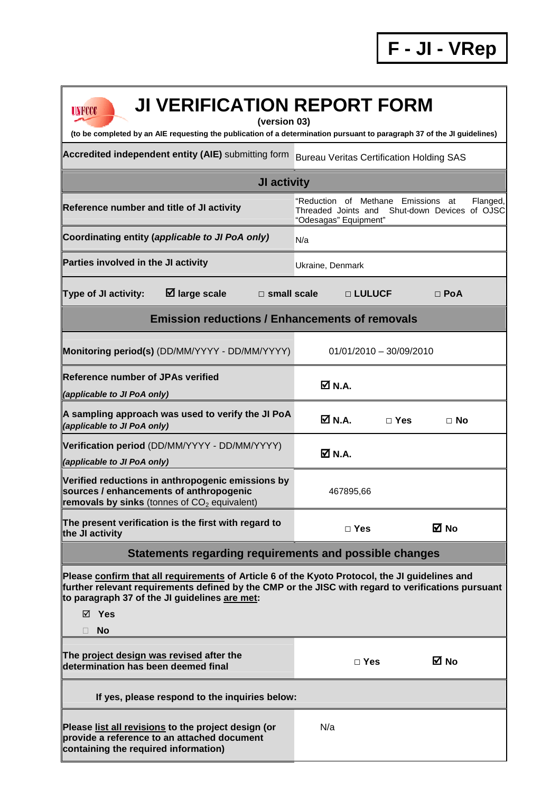1

| <b>JI VERIFICATION REPORT FORM</b><br>INROO                                                                                                                                                                                                                    |                                                                                                                                |  |  |  |
|----------------------------------------------------------------------------------------------------------------------------------------------------------------------------------------------------------------------------------------------------------------|--------------------------------------------------------------------------------------------------------------------------------|--|--|--|
| (version 03)<br>(to be completed by an AIE requesting the publication of a determination pursuant to paragraph 37 of the JI guidelines)                                                                                                                        |                                                                                                                                |  |  |  |
| Accredited independent entity (AIE) submitting form                                                                                                                                                                                                            | <b>Bureau Veritas Certification Holding SAS</b>                                                                                |  |  |  |
| JI activity                                                                                                                                                                                                                                                    |                                                                                                                                |  |  |  |
| Reference number and title of JI activity                                                                                                                                                                                                                      | "Reduction of Methane<br>Flanged,<br>Emissions<br>at<br>Threaded Joints and Shut-down Devices of OJSC<br>"Odesagas" Equipment" |  |  |  |
| Coordinating entity (applicable to JI PoA only)                                                                                                                                                                                                                | N/a                                                                                                                            |  |  |  |
| Parties involved in the JI activity                                                                                                                                                                                                                            | Ukraine, Denmark                                                                                                               |  |  |  |
| <b>Ø</b> large scale<br>Type of JI activity:<br>$\Box$ small scale                                                                                                                                                                                             | □ LULUCF<br>$\Box$ PoA                                                                                                         |  |  |  |
| <b>Emission reductions / Enhancements of removals</b>                                                                                                                                                                                                          |                                                                                                                                |  |  |  |
| Monitoring period(s) (DD/MM/YYYY - DD/MM/YYYY)                                                                                                                                                                                                                 | $01/01/2010 - 30/09/2010$                                                                                                      |  |  |  |
| <b>Reference number of JPAs verified</b><br>(applicable to JI PoA only)                                                                                                                                                                                        | Ø N.A.                                                                                                                         |  |  |  |
| A sampling approach was used to verify the JI PoA<br>(applicable to JI PoA only)                                                                                                                                                                               | $\boxtimes$ N.A.<br>$\Box$ Yes<br>$\Box$ No                                                                                    |  |  |  |
| Verification period (DD/MM/YYYY - DD/MM/YYYY)<br>(applicable to JI PoA only)                                                                                                                                                                                   | $\boxtimes$ N.A.                                                                                                               |  |  |  |
| Verified reductions in anthropogenic emissions by<br>sources / enhancements of anthropogenic<br>removals by sinks (tonnes of $CO2$ equivalent)                                                                                                                 | 467895,66                                                                                                                      |  |  |  |
| The present verification is the first with regard to<br>the JI activity                                                                                                                                                                                        | M No<br>$\Box$ Yes                                                                                                             |  |  |  |
| Statements regarding requirements and possible changes                                                                                                                                                                                                         |                                                                                                                                |  |  |  |
| Please confirm that all requirements of Article 6 of the Kyoto Protocol, the JI guidelines and<br>further relevant requirements defined by the CMP or the JISC with regard to verifications pursuant<br>to paragraph 37 of the JI guidelines are met:<br>⊠ Yes |                                                                                                                                |  |  |  |
| <b>No</b>                                                                                                                                                                                                                                                      |                                                                                                                                |  |  |  |
| The project design was revised after the<br>determination has been deemed final                                                                                                                                                                                | M No<br>$\Box$ Yes                                                                                                             |  |  |  |
| If yes, please respond to the inquiries below:                                                                                                                                                                                                                 |                                                                                                                                |  |  |  |
| Please list all revisions to the project design (or<br>provide a reference to an attached document<br>containing the required information)                                                                                                                     | N/a                                                                                                                            |  |  |  |

Ī